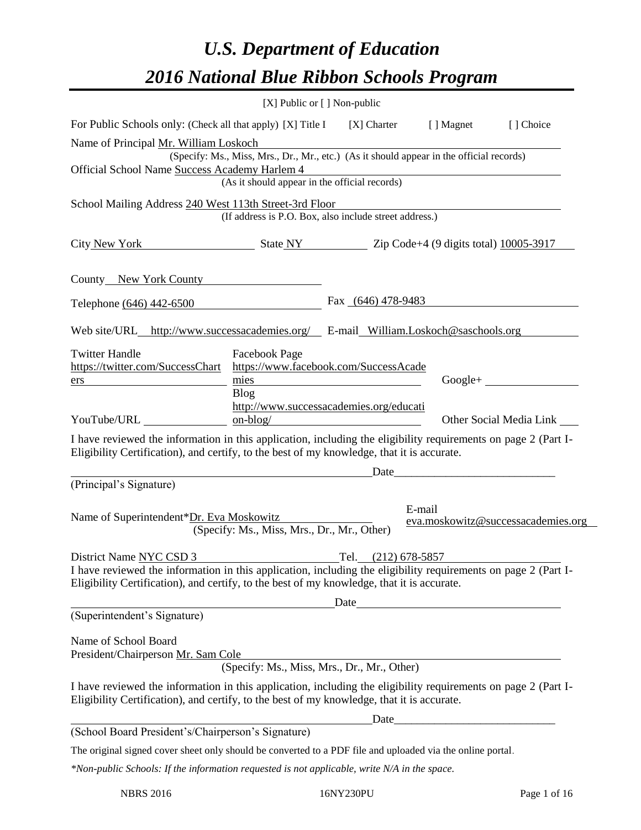# *U.S. Department of Education 2016 National Blue Ribbon Schools Program*

|                                                                                                                                                                                                                                         | [X] Public or [] Non-public                   |                                                                                          |                                                                                                                      |                                    |
|-----------------------------------------------------------------------------------------------------------------------------------------------------------------------------------------------------------------------------------------|-----------------------------------------------|------------------------------------------------------------------------------------------|----------------------------------------------------------------------------------------------------------------------|------------------------------------|
| For Public Schools only: (Check all that apply) [X] Title I                                                                                                                                                                             |                                               | [X] Charter                                                                              | [ ] Magnet                                                                                                           | [] Choice                          |
| Name of Principal Mr. William Loskoch                                                                                                                                                                                                   |                                               | (Specify: Ms., Miss, Mrs., Dr., Mr., etc.) (As it should appear in the official records) |                                                                                                                      |                                    |
| Official School Name Success Academy Harlem 4                                                                                                                                                                                           | (As it should appear in the official records) |                                                                                          |                                                                                                                      |                                    |
| School Mailing Address 240 West 113th Street-3rd Floor                                                                                                                                                                                  |                                               | (If address is P.O. Box, also include street address.)                                   |                                                                                                                      |                                    |
| City New York State NY State NY 2ip Code+4 (9 digits total) 10005-3917                                                                                                                                                                  |                                               |                                                                                          |                                                                                                                      |                                    |
| County New York County                                                                                                                                                                                                                  |                                               |                                                                                          |                                                                                                                      |                                    |
| Telephone (646) 442-6500                                                                                                                                                                                                                |                                               | Fax (646) 478-9483                                                                       |                                                                                                                      |                                    |
| Web site/URL_http://www.successacademies.org/ E-mail_William.Loskoch@saschools.org                                                                                                                                                      |                                               |                                                                                          |                                                                                                                      |                                    |
| <b>Twitter Handle</b><br>https://twitter.com/SuccessChart<br>ers                                                                                                                                                                        | Facebook Page<br>mies<br><b>Blog</b>          | https://www.facebook.com/SuccessAcade<br>http://www.successacademies.org/educati         |                                                                                                                      | $Google+$                          |
| YouTube/URL                                                                                                                                                                                                                             | $on-blog/$                                    |                                                                                          |                                                                                                                      | Other Social Media Link            |
| I have reviewed the information in this application, including the eligibility requirements on page 2 (Part I-<br>Eligibility Certification), and certify, to the best of my knowledge, that it is accurate.                            |                                               |                                                                                          |                                                                                                                      |                                    |
| (Principal's Signature)                                                                                                                                                                                                                 |                                               | Date                                                                                     | <u> 1989 - Johann Barn, mars eta bat eta bat erroman erroman erroman erroman erroman erroman erroman erroman err</u> |                                    |
| Name of Superintendent*Dr. Eva Moskowitz                                                                                                                                                                                                | (Specify: Ms., Miss, Mrs., Dr., Mr., Other)   | E-mail                                                                                   |                                                                                                                      | eva.moskowitz@successacademies.org |
| District Name NYC CSD 3<br>I have reviewed the information in this application, including the eligibility requirements on page 2 (Part I-<br>Eligibility Certification), and certify, to the best of my knowledge, that it is accurate. |                                               | Tel.<br>$(212)$ 678-5857<br>Date                                                         |                                                                                                                      |                                    |
| (Superintendent's Signature)                                                                                                                                                                                                            |                                               |                                                                                          |                                                                                                                      |                                    |
| Name of School Board<br>President/Chairperson Mr. Sam Cole                                                                                                                                                                              | (Specify: Ms., Miss, Mrs., Dr., Mr., Other)   |                                                                                          |                                                                                                                      |                                    |
| I have reviewed the information in this application, including the eligibility requirements on page 2 (Part I-<br>Eligibility Certification), and certify, to the best of my knowledge, that it is accurate.                            |                                               |                                                                                          |                                                                                                                      |                                    |
| (School Board President's/Chairperson's Signature)                                                                                                                                                                                      |                                               |                                                                                          |                                                                                                                      |                                    |
| The original signed cover sheet only should be converted to a PDF file and uploaded via the online portal.                                                                                                                              |                                               |                                                                                          |                                                                                                                      |                                    |
| *Non-public Schools: If the information requested is not applicable, write N/A in the space.                                                                                                                                            |                                               |                                                                                          |                                                                                                                      |                                    |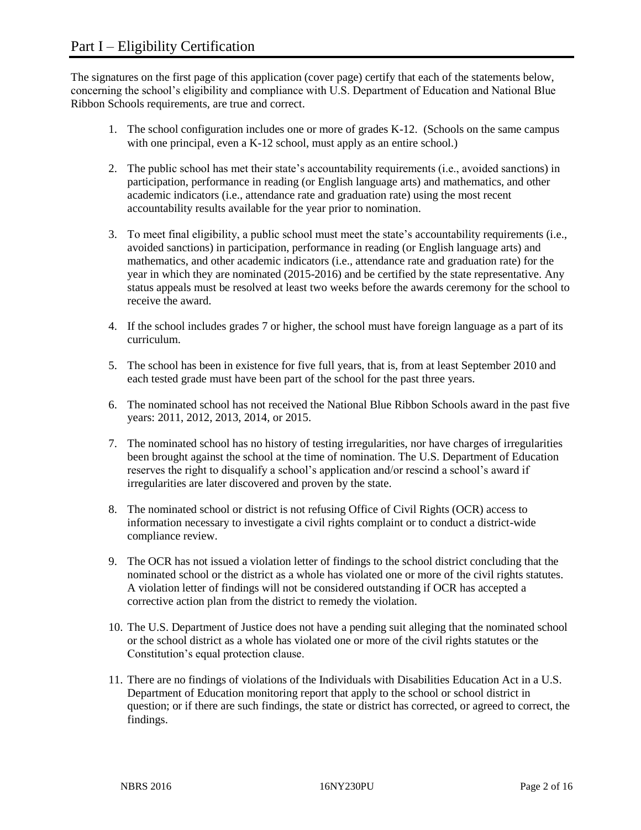The signatures on the first page of this application (cover page) certify that each of the statements below, concerning the school's eligibility and compliance with U.S. Department of Education and National Blue Ribbon Schools requirements, are true and correct.

- 1. The school configuration includes one or more of grades K-12. (Schools on the same campus with one principal, even a K-12 school, must apply as an entire school.)
- 2. The public school has met their state's accountability requirements (i.e., avoided sanctions) in participation, performance in reading (or English language arts) and mathematics, and other academic indicators (i.e., attendance rate and graduation rate) using the most recent accountability results available for the year prior to nomination.
- 3. To meet final eligibility, a public school must meet the state's accountability requirements (i.e., avoided sanctions) in participation, performance in reading (or English language arts) and mathematics, and other academic indicators (i.e., attendance rate and graduation rate) for the year in which they are nominated (2015-2016) and be certified by the state representative. Any status appeals must be resolved at least two weeks before the awards ceremony for the school to receive the award.
- 4. If the school includes grades 7 or higher, the school must have foreign language as a part of its curriculum.
- 5. The school has been in existence for five full years, that is, from at least September 2010 and each tested grade must have been part of the school for the past three years.
- 6. The nominated school has not received the National Blue Ribbon Schools award in the past five years: 2011, 2012, 2013, 2014, or 2015.
- 7. The nominated school has no history of testing irregularities, nor have charges of irregularities been brought against the school at the time of nomination. The U.S. Department of Education reserves the right to disqualify a school's application and/or rescind a school's award if irregularities are later discovered and proven by the state.
- 8. The nominated school or district is not refusing Office of Civil Rights (OCR) access to information necessary to investigate a civil rights complaint or to conduct a district-wide compliance review.
- 9. The OCR has not issued a violation letter of findings to the school district concluding that the nominated school or the district as a whole has violated one or more of the civil rights statutes. A violation letter of findings will not be considered outstanding if OCR has accepted a corrective action plan from the district to remedy the violation.
- 10. The U.S. Department of Justice does not have a pending suit alleging that the nominated school or the school district as a whole has violated one or more of the civil rights statutes or the Constitution's equal protection clause.
- 11. There are no findings of violations of the Individuals with Disabilities Education Act in a U.S. Department of Education monitoring report that apply to the school or school district in question; or if there are such findings, the state or district has corrected, or agreed to correct, the findings.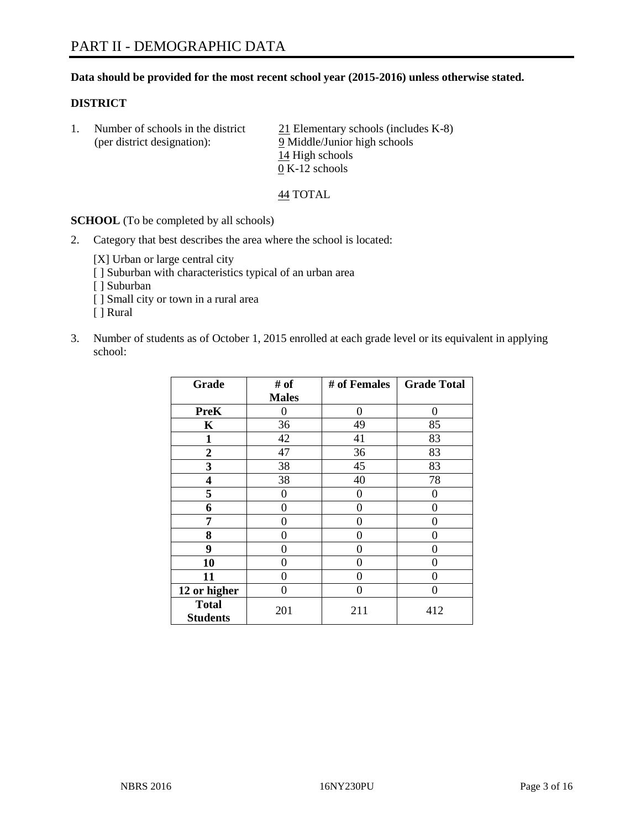## **Data should be provided for the most recent school year (2015-2016) unless otherwise stated.**

## **DISTRICT**

| Number of schools in the district | $21$ Elementary schools (includes K-8) |
|-----------------------------------|----------------------------------------|
| (per district designation):       | 9 Middle/Junior high schools           |
|                                   | 14 High schools                        |
|                                   | $0 K-12$ schools                       |

44 TOTAL

**SCHOOL** (To be completed by all schools)

2. Category that best describes the area where the school is located:

[X] Urban or large central city [ ] Suburban with characteristics typical of an urban area [ ] Suburban

- [ ] Small city or town in a rural area
- [ ] Rural
- 3. Number of students as of October 1, 2015 enrolled at each grade level or its equivalent in applying school:

| Grade                           | # of         | # of Females | <b>Grade Total</b> |
|---------------------------------|--------------|--------------|--------------------|
|                                 | <b>Males</b> |              |                    |
| <b>PreK</b>                     | 0            | 0            | $\Omega$           |
| K                               | 36           | 49           | 85                 |
| 1                               | 42           | 41           | 83                 |
| 2                               | 47           | 36           | 83                 |
| 3                               | 38           | 45           | 83                 |
| 4                               | 38           | 40           | 78                 |
| 5                               | 0            | 0            | 0                  |
| 6                               | 0            | 0            | $\Omega$           |
| 7                               | 0            | 0            | $\Omega$           |
| 8                               | 0            | 0            | 0                  |
| 9                               | 0            | 0            | 0                  |
| 10                              | $\theta$     | 0            | $\theta$           |
| 11                              | 0            | 0            | 0                  |
| 12 or higher                    | 0            | 0            | $\Omega$           |
| <b>Total</b><br><b>Students</b> | 201          | 211          | 412                |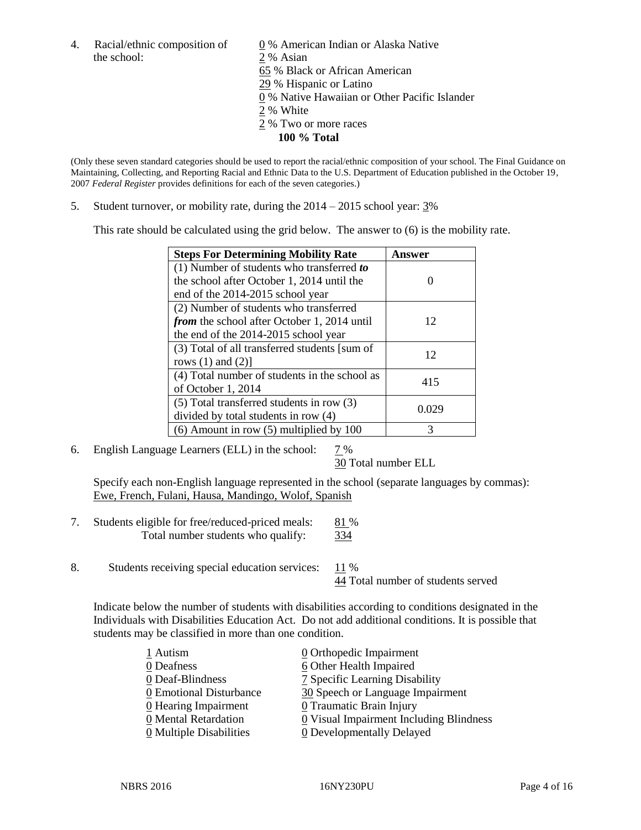the school: 2 % Asian

4. Racial/ethnic composition of  $\underline{0}$  % American Indian or Alaska Native 65 % Black or African American 29 % Hispanic or Latino 0 % Native Hawaiian or Other Pacific Islander 2 % White 2 % Two or more races **100 % Total**

(Only these seven standard categories should be used to report the racial/ethnic composition of your school. The Final Guidance on Maintaining, Collecting, and Reporting Racial and Ethnic Data to the U.S. Department of Education published in the October 19, 2007 *Federal Register* provides definitions for each of the seven categories.)

5. Student turnover, or mobility rate, during the 2014 – 2015 school year: 3%

This rate should be calculated using the grid below. The answer to (6) is the mobility rate.

| <b>Steps For Determining Mobility Rate</b>         | Answer |  |
|----------------------------------------------------|--------|--|
| $(1)$ Number of students who transferred to        |        |  |
| the school after October 1, 2014 until the         |        |  |
| end of the 2014-2015 school year                   |        |  |
| (2) Number of students who transferred             |        |  |
| <i>from</i> the school after October 1, 2014 until | 12     |  |
| the end of the 2014-2015 school year               |        |  |
| (3) Total of all transferred students [sum of      | 12     |  |
| rows $(1)$ and $(2)$ ]                             |        |  |
| (4) Total number of students in the school as      | 415    |  |
| of October 1, 2014                                 |        |  |
| $(5)$ Total transferred students in row $(3)$      | 0.029  |  |
| divided by total students in row (4)               |        |  |
| $(6)$ Amount in row $(5)$ multiplied by 100        | 3      |  |

6. English Language Learners (ELL) in the school:  $7\%$ 

30 Total number ELL

Specify each non-English language represented in the school (separate languages by commas): Ewe, French, Fulani, Hausa, Mandingo, Wolof, Spanish

- 7. Students eligible for free/reduced-priced meals: 81 % Total number students who qualify:  $\frac{334}{ }$
- 8. Students receiving special education services: 11 %

44 Total number of students served

Indicate below the number of students with disabilities according to conditions designated in the Individuals with Disabilities Education Act. Do not add additional conditions. It is possible that students may be classified in more than one condition.

| 1 Autism                | 0 Orthopedic Impairment                 |
|-------------------------|-----------------------------------------|
| 0 Deafness              | 6 Other Health Impaired                 |
| 0 Deaf-Blindness        | 7 Specific Learning Disability          |
| 0 Emotional Disturbance | 30 Speech or Language Impairment        |
| 0 Hearing Impairment    | 0 Traumatic Brain Injury                |
| 0 Mental Retardation    | 0 Visual Impairment Including Blindness |
| 0 Multiple Disabilities | 0 Developmentally Delayed               |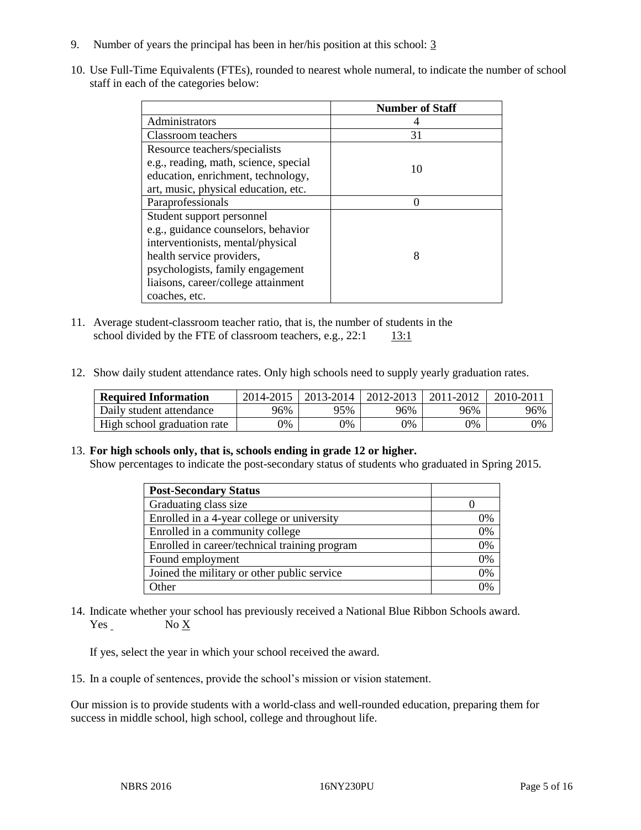- 9. Number of years the principal has been in her/his position at this school: 3
- 10. Use Full-Time Equivalents (FTEs), rounded to nearest whole numeral, to indicate the number of school staff in each of the categories below:

|                                       | <b>Number of Staff</b> |
|---------------------------------------|------------------------|
| Administrators                        |                        |
| Classroom teachers                    | 31                     |
| Resource teachers/specialists         |                        |
| e.g., reading, math, science, special | 10                     |
| education, enrichment, technology,    |                        |
| art, music, physical education, etc.  |                        |
| Paraprofessionals                     |                        |
| Student support personnel             |                        |
| e.g., guidance counselors, behavior   |                        |
| interventionists, mental/physical     |                        |
| health service providers,             | 8                      |
| psychologists, family engagement      |                        |
| liaisons, career/college attainment   |                        |
| coaches, etc.                         |                        |

- 11. Average student-classroom teacher ratio, that is, the number of students in the school divided by the FTE of classroom teachers, e.g.,  $22:1$  13:1
- 12. Show daily student attendance rates. Only high schools need to supply yearly graduation rates.

| <b>Required Information</b> | 2014-2015 | 2013-2014 | 2012-2013 | 2011-2012 | 2010-201 |
|-----------------------------|-----------|-----------|-----------|-----------|----------|
| Daily student attendance    | 96%       | 95%       | 96%       | 96%       | 96%      |
| High school graduation rate | 9%        | 0%        | 0%        | 9%        | 0%       |

## 13. **For high schools only, that is, schools ending in grade 12 or higher.**

Show percentages to indicate the post-secondary status of students who graduated in Spring 2015.

| <b>Post-Secondary Status</b>                  |    |
|-----------------------------------------------|----|
| Graduating class size                         |    |
| Enrolled in a 4-year college or university    | 0% |
| Enrolled in a community college               | 0% |
| Enrolled in career/technical training program | 0% |
| Found employment                              | 0% |
| Joined the military or other public service   | 0% |
| Other                                         | በ% |

14. Indicate whether your school has previously received a National Blue Ribbon Schools award. Yes No X

If yes, select the year in which your school received the award.

15. In a couple of sentences, provide the school's mission or vision statement.

Our mission is to provide students with a world-class and well-rounded education, preparing them for success in middle school, high school, college and throughout life.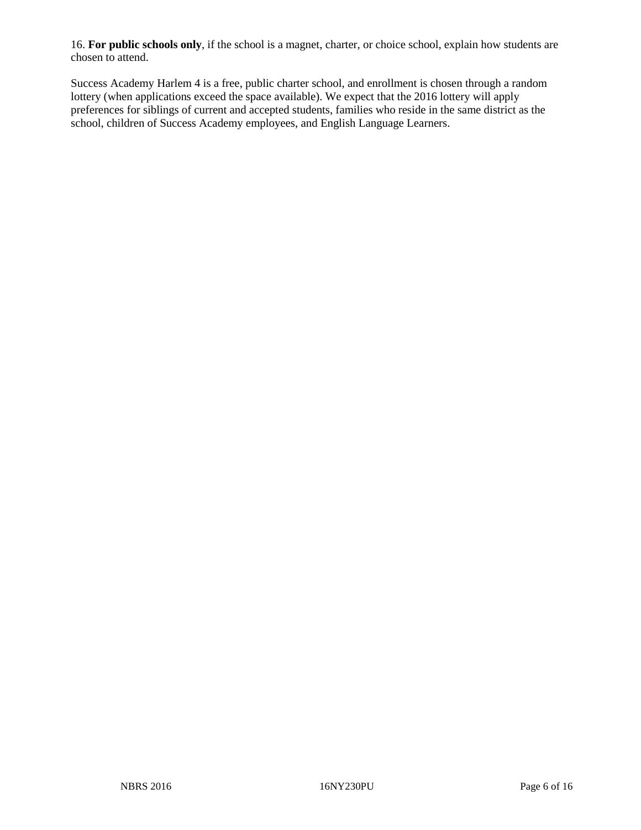16. **For public schools only**, if the school is a magnet, charter, or choice school, explain how students are chosen to attend.

Success Academy Harlem 4 is a free, public charter school, and enrollment is chosen through a random lottery (when applications exceed the space available). We expect that the 2016 lottery will apply preferences for siblings of current and accepted students, families who reside in the same district as the school, children of Success Academy employees, and English Language Learners.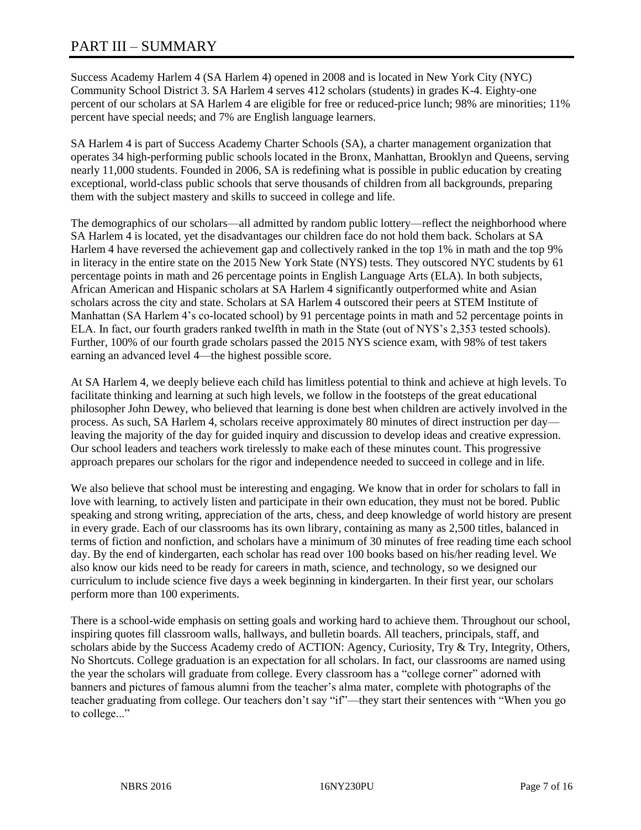# PART III – SUMMARY

Success Academy Harlem 4 (SA Harlem 4) opened in 2008 and is located in New York City (NYC) Community School District 3. SA Harlem 4 serves 412 scholars (students) in grades K-4. Eighty-one percent of our scholars at SA Harlem 4 are eligible for free or reduced-price lunch; 98% are minorities; 11% percent have special needs; and 7% are English language learners.

SA Harlem 4 is part of Success Academy Charter Schools (SA), a charter management organization that operates 34 high-performing public schools located in the Bronx, Manhattan, Brooklyn and Queens, serving nearly 11,000 students. Founded in 2006, SA is redefining what is possible in public education by creating exceptional, world-class public schools that serve thousands of children from all backgrounds, preparing them with the subject mastery and skills to succeed in college and life.

The demographics of our scholars—all admitted by random public lottery—reflect the neighborhood where SA Harlem 4 is located, yet the disadvantages our children face do not hold them back. Scholars at SA Harlem 4 have reversed the achievement gap and collectively ranked in the top 1% in math and the top 9% in literacy in the entire state on the 2015 New York State (NYS) tests. They outscored NYC students by 61 percentage points in math and 26 percentage points in English Language Arts (ELA). In both subjects, African American and Hispanic scholars at SA Harlem 4 significantly outperformed white and Asian scholars across the city and state. Scholars at SA Harlem 4 outscored their peers at STEM Institute of Manhattan (SA Harlem 4's co-located school) by 91 percentage points in math and 52 percentage points in ELA. In fact, our fourth graders ranked twelfth in math in the State (out of NYS's 2,353 tested schools). Further, 100% of our fourth grade scholars passed the 2015 NYS science exam, with 98% of test takers earning an advanced level 4—the highest possible score.

At SA Harlem 4, we deeply believe each child has limitless potential to think and achieve at high levels. To facilitate thinking and learning at such high levels, we follow in the footsteps of the great educational philosopher John Dewey, who believed that learning is done best when children are actively involved in the process. As such, SA Harlem 4, scholars receive approximately 80 minutes of direct instruction per day leaving the majority of the day for guided inquiry and discussion to develop ideas and creative expression. Our school leaders and teachers work tirelessly to make each of these minutes count. This progressive approach prepares our scholars for the rigor and independence needed to succeed in college and in life.

We also believe that school must be interesting and engaging. We know that in order for scholars to fall in love with learning, to actively listen and participate in their own education, they must not be bored. Public speaking and strong writing, appreciation of the arts, chess, and deep knowledge of world history are present in every grade. Each of our classrooms has its own library, containing as many as 2,500 titles, balanced in terms of fiction and nonfiction, and scholars have a minimum of 30 minutes of free reading time each school day. By the end of kindergarten, each scholar has read over 100 books based on his/her reading level. We also know our kids need to be ready for careers in math, science, and technology, so we designed our curriculum to include science five days a week beginning in kindergarten. In their first year, our scholars perform more than 100 experiments.

There is a school-wide emphasis on setting goals and working hard to achieve them. Throughout our school, inspiring quotes fill classroom walls, hallways, and bulletin boards. All teachers, principals, staff, and scholars abide by the Success Academy credo of ACTION: Agency, Curiosity, Try & Try, Integrity, Others, No Shortcuts. College graduation is an expectation for all scholars. In fact, our classrooms are named using the year the scholars will graduate from college. Every classroom has a "college corner" adorned with banners and pictures of famous alumni from the teacher's alma mater, complete with photographs of the teacher graduating from college. Our teachers don't say "if"—they start their sentences with "When you go to college..."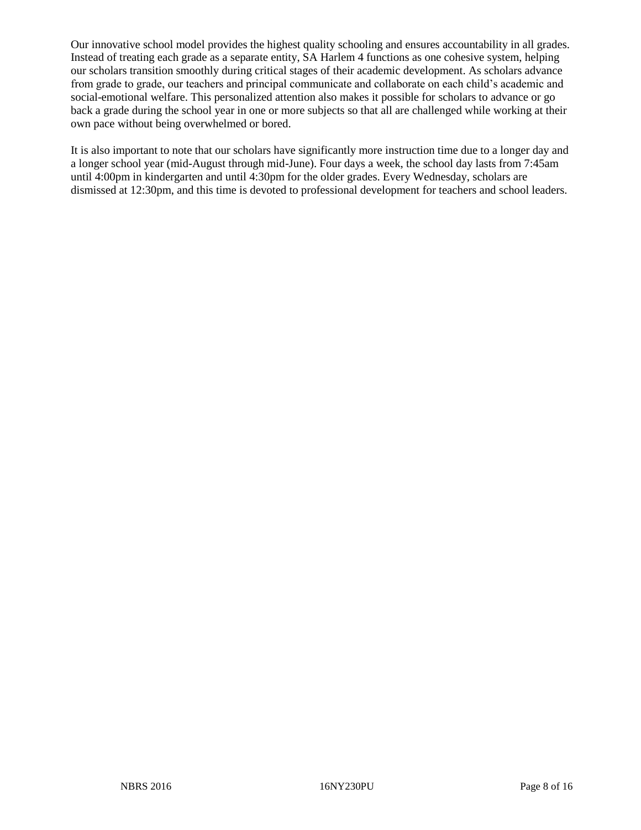Our innovative school model provides the highest quality schooling and ensures accountability in all grades. Instead of treating each grade as a separate entity, SA Harlem 4 functions as one cohesive system, helping our scholars transition smoothly during critical stages of their academic development. As scholars advance from grade to grade, our teachers and principal communicate and collaborate on each child's academic and social-emotional welfare. This personalized attention also makes it possible for scholars to advance or go back a grade during the school year in one or more subjects so that all are challenged while working at their own pace without being overwhelmed or bored.

It is also important to note that our scholars have significantly more instruction time due to a longer day and a longer school year (mid-August through mid-June). Four days a week, the school day lasts from 7:45am until 4:00pm in kindergarten and until 4:30pm for the older grades. Every Wednesday, scholars are dismissed at 12:30pm, and this time is devoted to professional development for teachers and school leaders.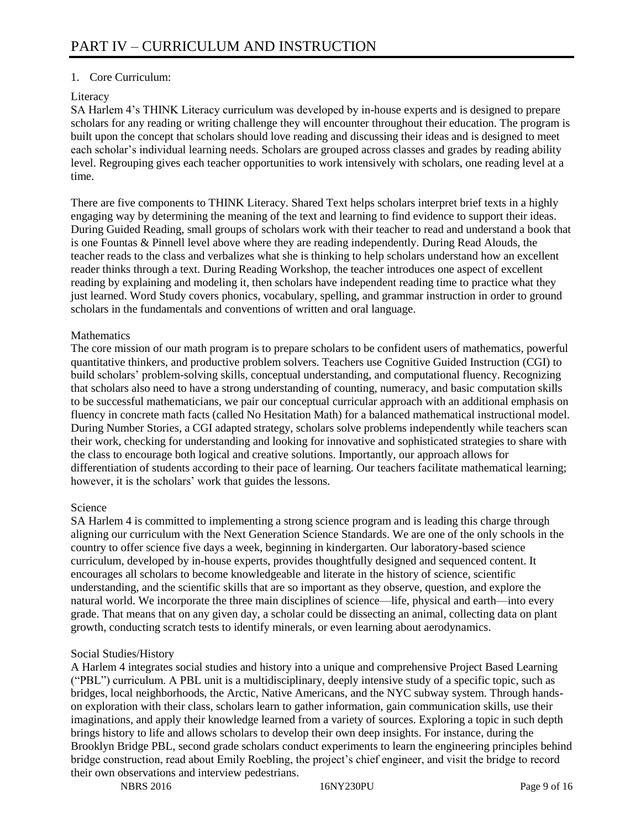# 1. Core Curriculum:

# Literacy

SA Harlem 4's THINK Literacy curriculum was developed by in-house experts and is designed to prepare scholars for any reading or writing challenge they will encounter throughout their education. The program is built upon the concept that scholars should love reading and discussing their ideas and is designed to meet each scholar's individual learning needs. Scholars are grouped across classes and grades by reading ability level. Regrouping gives each teacher opportunities to work intensively with scholars, one reading level at a time.

There are five components to THINK Literacy. Shared Text helps scholars interpret brief texts in a highly engaging way by determining the meaning of the text and learning to find evidence to support their ideas. During Guided Reading, small groups of scholars work with their teacher to read and understand a book that is one Fountas & Pinnell level above where they are reading independently. During Read Alouds, the teacher reads to the class and verbalizes what she is thinking to help scholars understand how an excellent reader thinks through a text. During Reading Workshop, the teacher introduces one aspect of excellent reading by explaining and modeling it, then scholars have independent reading time to practice what they just learned. Word Study covers phonics, vocabulary, spelling, and grammar instruction in order to ground scholars in the fundamentals and conventions of written and oral language.

## **Mathematics**

The core mission of our math program is to prepare scholars to be confident users of mathematics, powerful quantitative thinkers, and productive problem solvers. Teachers use Cognitive Guided Instruction (CGI) to build scholars' problem-solving skills, conceptual understanding, and computational fluency. Recognizing that scholars also need to have a strong understanding of counting, numeracy, and basic computation skills to be successful mathematicians, we pair our conceptual curricular approach with an additional emphasis on fluency in concrete math facts (called No Hesitation Math) for a balanced mathematical instructional model. During Number Stories, a CGI adapted strategy, scholars solve problems independently while teachers scan their work, checking for understanding and looking for innovative and sophisticated strategies to share with the class to encourage both logical and creative solutions. Importantly, our approach allows for differentiation of students according to their pace of learning. Our teachers facilitate mathematical learning; however, it is the scholars' work that guides the lessons.

## Science

SA Harlem 4 is committed to implementing a strong science program and is leading this charge through aligning our curriculum with the Next Generation Science Standards. We are one of the only schools in the country to offer science five days a week, beginning in kindergarten. Our laboratory-based science curriculum, developed by in-house experts, provides thoughtfully designed and sequenced content. It encourages all scholars to become knowledgeable and literate in the history of science, scientific understanding, and the scientific skills that are so important as they observe, question, and explore the natural world. We incorporate the three main disciplines of science—life, physical and earth—into every grade. That means that on any given day, a scholar could be dissecting an animal, collecting data on plant growth, conducting scratch tests to identify minerals, or even learning about aerodynamics.

## Social Studies/History

A Harlem 4 integrates social studies and history into a unique and comprehensive Project Based Learning ("PBL") curriculum. A PBL unit is a multidisciplinary, deeply intensive study of a specific topic, such as bridges, local neighborhoods, the Arctic, Native Americans, and the NYC subway system. Through handson exploration with their class, scholars learn to gather information, gain communication skills, use their imaginations, and apply their knowledge learned from a variety of sources. Exploring a topic in such depth brings history to life and allows scholars to develop their own deep insights. For instance, during the Brooklyn Bridge PBL, second grade scholars conduct experiments to learn the engineering principles behind bridge construction, read about Emily Roebling, the project's chief engineer, and visit the bridge to record their own observations and interview pedestrians.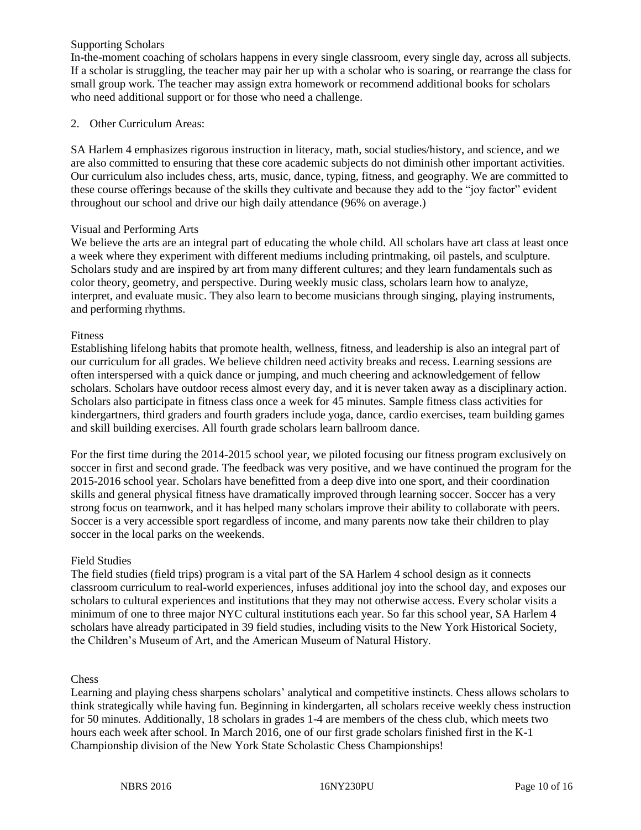# Supporting Scholars

In-the-moment coaching of scholars happens in every single classroom, every single day, across all subjects. If a scholar is struggling, the teacher may pair her up with a scholar who is soaring, or rearrange the class for small group work. The teacher may assign extra homework or recommend additional books for scholars who need additional support or for those who need a challenge.

# 2. Other Curriculum Areas:

SA Harlem 4 emphasizes rigorous instruction in literacy, math, social studies/history, and science, and we are also committed to ensuring that these core academic subjects do not diminish other important activities. Our curriculum also includes chess, arts, music, dance, typing, fitness, and geography. We are committed to these course offerings because of the skills they cultivate and because they add to the "joy factor" evident throughout our school and drive our high daily attendance (96% on average.)

## Visual and Performing Arts

We believe the arts are an integral part of educating the whole child. All scholars have art class at least once a week where they experiment with different mediums including printmaking, oil pastels, and sculpture. Scholars study and are inspired by art from many different cultures; and they learn fundamentals such as color theory, geometry, and perspective. During weekly music class, scholars learn how to analyze, interpret, and evaluate music. They also learn to become musicians through singing, playing instruments, and performing rhythms.

## Fitness

Establishing lifelong habits that promote health, wellness, fitness, and leadership is also an integral part of our curriculum for all grades. We believe children need activity breaks and recess. Learning sessions are often interspersed with a quick dance or jumping, and much cheering and acknowledgement of fellow scholars. Scholars have outdoor recess almost every day, and it is never taken away as a disciplinary action. Scholars also participate in fitness class once a week for 45 minutes. Sample fitness class activities for kindergartners, third graders and fourth graders include yoga, dance, cardio exercises, team building games and skill building exercises. All fourth grade scholars learn ballroom dance.

For the first time during the 2014-2015 school year, we piloted focusing our fitness program exclusively on soccer in first and second grade. The feedback was very positive, and we have continued the program for the 2015-2016 school year. Scholars have benefitted from a deep dive into one sport, and their coordination skills and general physical fitness have dramatically improved through learning soccer. Soccer has a very strong focus on teamwork, and it has helped many scholars improve their ability to collaborate with peers. Soccer is a very accessible sport regardless of income, and many parents now take their children to play soccer in the local parks on the weekends.

# Field Studies

The field studies (field trips) program is a vital part of the SA Harlem 4 school design as it connects classroom curriculum to real-world experiences, infuses additional joy into the school day, and exposes our scholars to cultural experiences and institutions that they may not otherwise access. Every scholar visits a minimum of one to three major NYC cultural institutions each year. So far this school year, SA Harlem 4 scholars have already participated in 39 field studies, including visits to the New York Historical Society, the Children's Museum of Art, and the American Museum of Natural History.

## **Chess**

Learning and playing chess sharpens scholars' analytical and competitive instincts. Chess allows scholars to think strategically while having fun. Beginning in kindergarten, all scholars receive weekly chess instruction for 50 minutes. Additionally, 18 scholars in grades 1-4 are members of the chess club, which meets two hours each week after school. In March 2016, one of our first grade scholars finished first in the K-1 Championship division of the New York State Scholastic Chess Championships!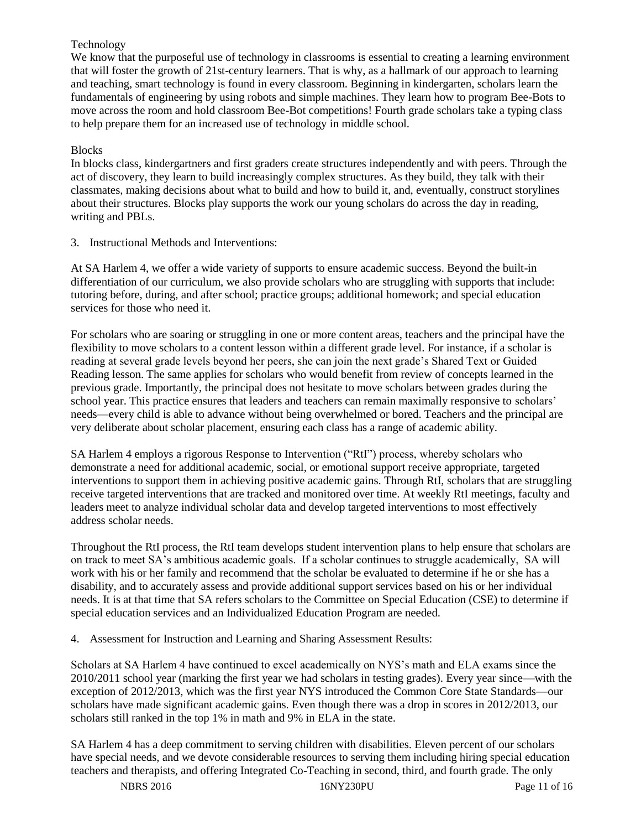# Technology

We know that the purposeful use of technology in classrooms is essential to creating a learning environment that will foster the growth of 21st-century learners. That is why, as a hallmark of our approach to learning and teaching, smart technology is found in every classroom. Beginning in kindergarten, scholars learn the fundamentals of engineering by using robots and simple machines. They learn how to program Bee-Bots to move across the room and hold classroom Bee-Bot competitions! Fourth grade scholars take a typing class to help prepare them for an increased use of technology in middle school.

# Blocks

In blocks class, kindergartners and first graders create structures independently and with peers. Through the act of discovery, they learn to build increasingly complex structures. As they build, they talk with their classmates, making decisions about what to build and how to build it, and, eventually, construct storylines about their structures. Blocks play supports the work our young scholars do across the day in reading, writing and PBLs.

3. Instructional Methods and Interventions:

At SA Harlem 4, we offer a wide variety of supports to ensure academic success. Beyond the built-in differentiation of our curriculum, we also provide scholars who are struggling with supports that include: tutoring before, during, and after school; practice groups; additional homework; and special education services for those who need it.

For scholars who are soaring or struggling in one or more content areas, teachers and the principal have the flexibility to move scholars to a content lesson within a different grade level. For instance, if a scholar is reading at several grade levels beyond her peers, she can join the next grade's Shared Text or Guided Reading lesson. The same applies for scholars who would benefit from review of concepts learned in the previous grade. Importantly, the principal does not hesitate to move scholars between grades during the school year. This practice ensures that leaders and teachers can remain maximally responsive to scholars' needs—every child is able to advance without being overwhelmed or bored. Teachers and the principal are very deliberate about scholar placement, ensuring each class has a range of academic ability.

SA Harlem 4 employs a rigorous Response to Intervention ("RtI") process, whereby scholars who demonstrate a need for additional academic, social, or emotional support receive appropriate, targeted interventions to support them in achieving positive academic gains. Through RtI, scholars that are struggling receive targeted interventions that are tracked and monitored over time. At weekly RtI meetings, faculty and leaders meet to analyze individual scholar data and develop targeted interventions to most effectively address scholar needs.

Throughout the RtI process, the RtI team develops student intervention plans to help ensure that scholars are on track to meet SA's ambitious academic goals. If a scholar continues to struggle academically, SA will work with his or her family and recommend that the scholar be evaluated to determine if he or she has a disability, and to accurately assess and provide additional support services based on his or her individual needs. It is at that time that SA refers scholars to the Committee on Special Education (CSE) to determine if special education services and an Individualized Education Program are needed.

4. Assessment for Instruction and Learning and Sharing Assessment Results:

Scholars at SA Harlem 4 have continued to excel academically on NYS's math and ELA exams since the 2010/2011 school year (marking the first year we had scholars in testing grades). Every year since—with the exception of 2012/2013, which was the first year NYS introduced the Common Core State Standards—our scholars have made significant academic gains. Even though there was a drop in scores in 2012/2013, our scholars still ranked in the top 1% in math and 9% in ELA in the state.

SA Harlem 4 has a deep commitment to serving children with disabilities. Eleven percent of our scholars have special needs, and we devote considerable resources to serving them including hiring special education teachers and therapists, and offering Integrated Co-Teaching in second, third, and fourth grade. The only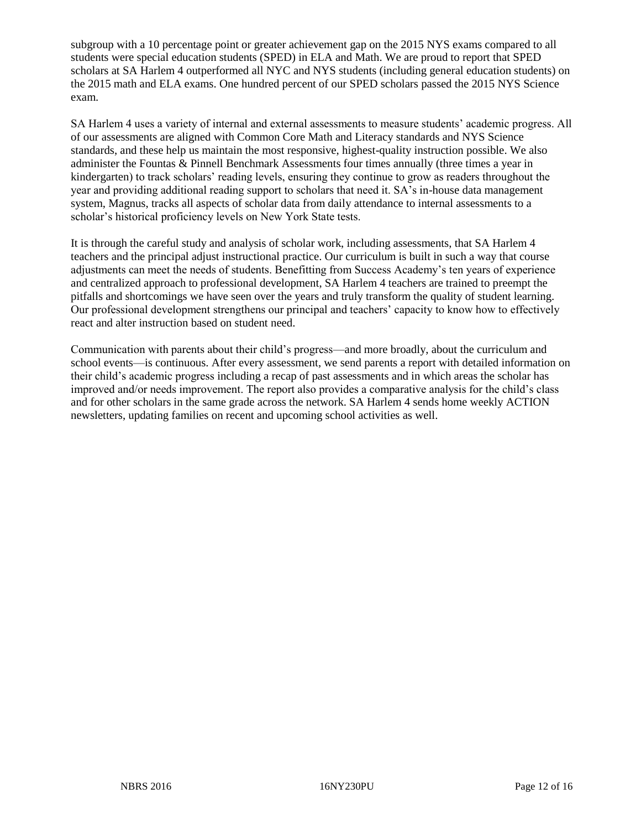subgroup with a 10 percentage point or greater achievement gap on the 2015 NYS exams compared to all students were special education students (SPED) in ELA and Math. We are proud to report that SPED scholars at SA Harlem 4 outperformed all NYC and NYS students (including general education students) on the 2015 math and ELA exams. One hundred percent of our SPED scholars passed the 2015 NYS Science exam.

SA Harlem 4 uses a variety of internal and external assessments to measure students' academic progress. All of our assessments are aligned with Common Core Math and Literacy standards and NYS Science standards, and these help us maintain the most responsive, highest-quality instruction possible. We also administer the Fountas & Pinnell Benchmark Assessments four times annually (three times a year in kindergarten) to track scholars' reading levels, ensuring they continue to grow as readers throughout the year and providing additional reading support to scholars that need it. SA's in-house data management system, Magnus, tracks all aspects of scholar data from daily attendance to internal assessments to a scholar's historical proficiency levels on New York State tests.

It is through the careful study and analysis of scholar work, including assessments, that SA Harlem 4 teachers and the principal adjust instructional practice. Our curriculum is built in such a way that course adjustments can meet the needs of students. Benefitting from Success Academy's ten years of experience and centralized approach to professional development, SA Harlem 4 teachers are trained to preempt the pitfalls and shortcomings we have seen over the years and truly transform the quality of student learning. Our professional development strengthens our principal and teachers' capacity to know how to effectively react and alter instruction based on student need.

Communication with parents about their child's progress—and more broadly, about the curriculum and school events—is continuous. After every assessment, we send parents a report with detailed information on their child's academic progress including a recap of past assessments and in which areas the scholar has improved and/or needs improvement. The report also provides a comparative analysis for the child's class and for other scholars in the same grade across the network. SA Harlem 4 sends home weekly ACTION newsletters, updating families on recent and upcoming school activities as well.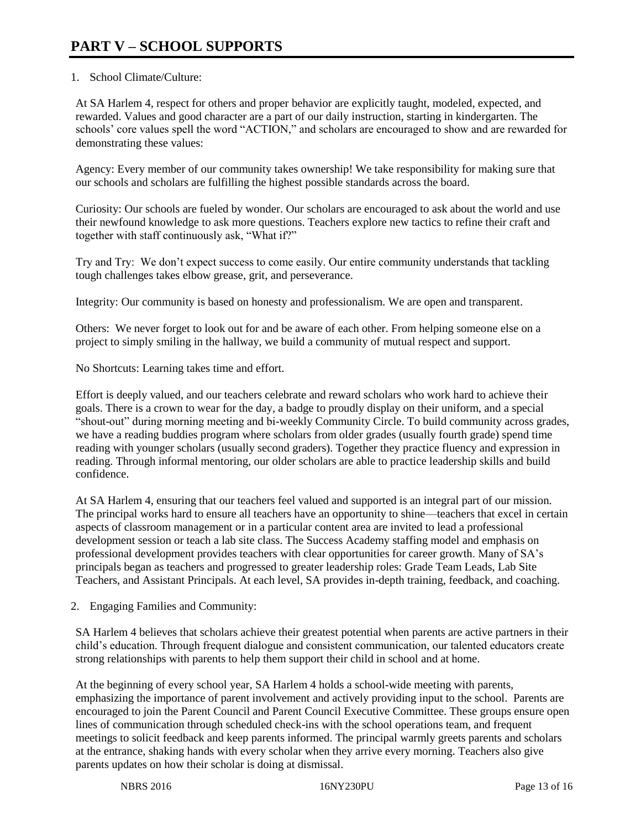# 1. School Climate/Culture:

At SA Harlem 4, respect for others and proper behavior are explicitly taught, modeled, expected, and rewarded. Values and good character are a part of our daily instruction, starting in kindergarten. The schools' core values spell the word "ACTION," and scholars are encouraged to show and are rewarded for demonstrating these values:

Agency: Every member of our community takes ownership! We take responsibility for making sure that our schools and scholars are fulfilling the highest possible standards across the board.

Curiosity: Our schools are fueled by wonder. Our scholars are encouraged to ask about the world and use their newfound knowledge to ask more questions. Teachers explore new tactics to refine their craft and together with staff continuously ask, "What if?"

Try and Try: We don't expect success to come easily. Our entire community understands that tackling tough challenges takes elbow grease, grit, and perseverance.

Integrity: Our community is based on honesty and professionalism. We are open and transparent.

Others: We never forget to look out for and be aware of each other. From helping someone else on a project to simply smiling in the hallway, we build a community of mutual respect and support.

No Shortcuts: Learning takes time and effort.

Effort is deeply valued, and our teachers celebrate and reward scholars who work hard to achieve their goals. There is a crown to wear for the day, a badge to proudly display on their uniform, and a special "shout-out" during morning meeting and bi-weekly Community Circle. To build community across grades, we have a reading buddies program where scholars from older grades (usually fourth grade) spend time reading with younger scholars (usually second graders). Together they practice fluency and expression in reading. Through informal mentoring, our older scholars are able to practice leadership skills and build confidence.

At SA Harlem 4, ensuring that our teachers feel valued and supported is an integral part of our mission. The principal works hard to ensure all teachers have an opportunity to shine—teachers that excel in certain aspects of classroom management or in a particular content area are invited to lead a professional development session or teach a lab site class. The Success Academy staffing model and emphasis on professional development provides teachers with clear opportunities for career growth. Many of SA's principals began as teachers and progressed to greater leadership roles: Grade Team Leads, Lab Site Teachers, and Assistant Principals. At each level, SA provides in-depth training, feedback, and coaching.

2. Engaging Families and Community:

SA Harlem 4 believes that scholars achieve their greatest potential when parents are active partners in their child's education. Through frequent dialogue and consistent communication, our talented educators create strong relationships with parents to help them support their child in school and at home.

At the beginning of every school year, SA Harlem 4 holds a school-wide meeting with parents, emphasizing the importance of parent involvement and actively providing input to the school. Parents are encouraged to join the Parent Council and Parent Council Executive Committee. These groups ensure open lines of communication through scheduled check-ins with the school operations team, and frequent meetings to solicit feedback and keep parents informed. The principal warmly greets parents and scholars at the entrance, shaking hands with every scholar when they arrive every morning. Teachers also give parents updates on how their scholar is doing at dismissal.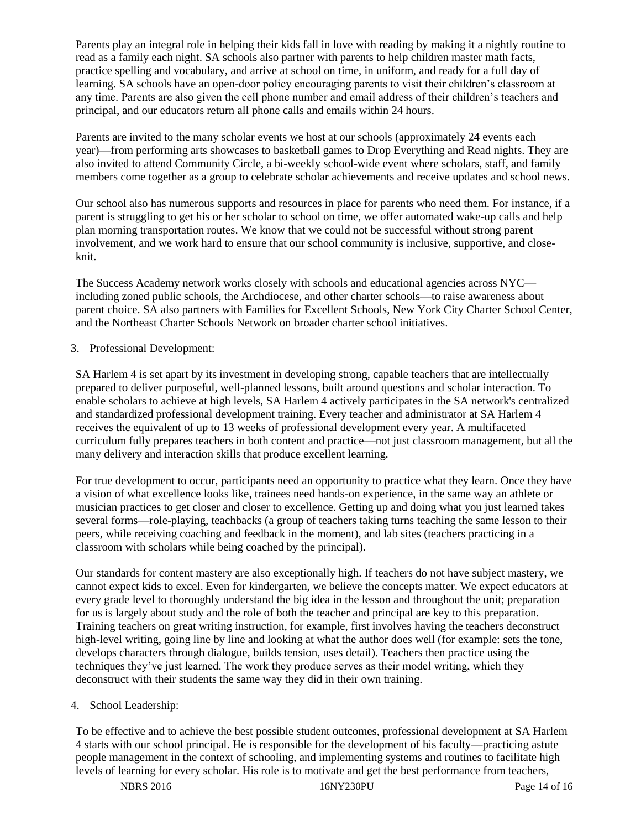Parents play an integral role in helping their kids fall in love with reading by making it a nightly routine to read as a family each night. SA schools also partner with parents to help children master math facts, practice spelling and vocabulary, and arrive at school on time, in uniform, and ready for a full day of learning. SA schools have an open-door policy encouraging parents to visit their children's classroom at any time. Parents are also given the cell phone number and email address of their children's teachers and principal, and our educators return all phone calls and emails within 24 hours.

Parents are invited to the many scholar events we host at our schools (approximately 24 events each year)—from performing arts showcases to basketball games to Drop Everything and Read nights. They are also invited to attend Community Circle, a bi-weekly school-wide event where scholars, staff, and family members come together as a group to celebrate scholar achievements and receive updates and school news.

Our school also has numerous supports and resources in place for parents who need them. For instance, if a parent is struggling to get his or her scholar to school on time, we offer automated wake-up calls and help plan morning transportation routes. We know that we could not be successful without strong parent involvement, and we work hard to ensure that our school community is inclusive, supportive, and closeknit.

The Success Academy network works closely with schools and educational agencies across NYC including zoned public schools, the Archdiocese, and other charter schools—to raise awareness about parent choice. SA also partners with Families for Excellent Schools, New York City Charter School Center, and the Northeast Charter Schools Network on broader charter school initiatives.

# 3. Professional Development:

SA Harlem 4 is set apart by its investment in developing strong, capable teachers that are intellectually prepared to deliver purposeful, well-planned lessons, built around questions and scholar interaction. To enable scholars to achieve at high levels, SA Harlem 4 actively participates in the SA network's centralized and standardized professional development training. Every teacher and administrator at SA Harlem 4 receives the equivalent of up to 13 weeks of professional development every year. A multifaceted curriculum fully prepares teachers in both content and practice—not just classroom management, but all the many delivery and interaction skills that produce excellent learning.

For true development to occur, participants need an opportunity to practice what they learn. Once they have a vision of what excellence looks like, trainees need hands-on experience, in the same way an athlete or musician practices to get closer and closer to excellence. Getting up and doing what you just learned takes several forms—role-playing, teachbacks (a group of teachers taking turns teaching the same lesson to their peers, while receiving coaching and feedback in the moment), and lab sites (teachers practicing in a classroom with scholars while being coached by the principal).

Our standards for content mastery are also exceptionally high. If teachers do not have subject mastery, we cannot expect kids to excel. Even for kindergarten, we believe the concepts matter. We expect educators at every grade level to thoroughly understand the big idea in the lesson and throughout the unit; preparation for us is largely about study and the role of both the teacher and principal are key to this preparation. Training teachers on great writing instruction, for example, first involves having the teachers deconstruct high-level writing, going line by line and looking at what the author does well (for example: sets the tone, develops characters through dialogue, builds tension, uses detail). Teachers then practice using the techniques they've just learned. The work they produce serves as their model writing, which they deconstruct with their students the same way they did in their own training.

## 4. School Leadership:

To be effective and to achieve the best possible student outcomes, professional development at SA Harlem 4 starts with our school principal. He is responsible for the development of his faculty—practicing astute people management in the context of schooling, and implementing systems and routines to facilitate high levels of learning for every scholar. His role is to motivate and get the best performance from teachers,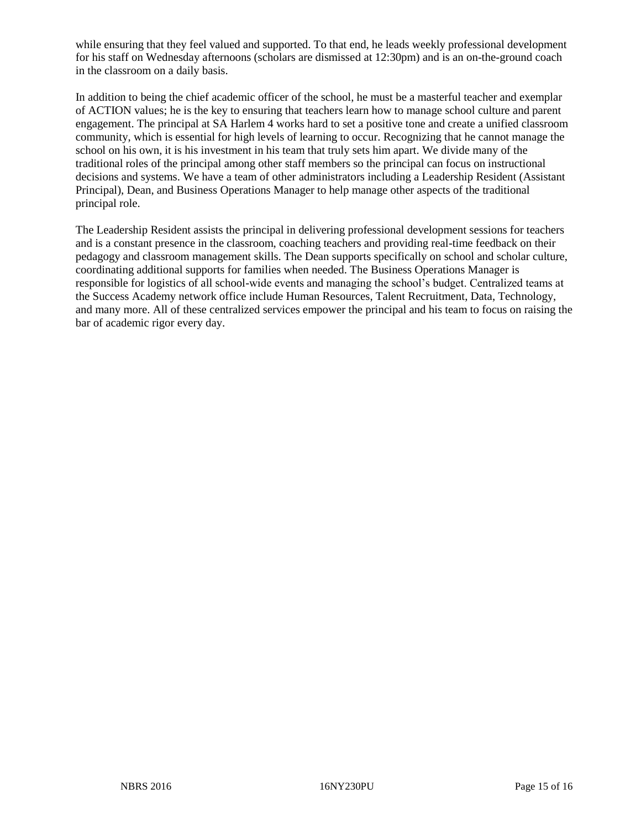while ensuring that they feel valued and supported. To that end, he leads weekly professional development for his staff on Wednesday afternoons (scholars are dismissed at 12:30pm) and is an on-the-ground coach in the classroom on a daily basis.

In addition to being the chief academic officer of the school, he must be a masterful teacher and exemplar of ACTION values; he is the key to ensuring that teachers learn how to manage school culture and parent engagement. The principal at SA Harlem 4 works hard to set a positive tone and create a unified classroom community, which is essential for high levels of learning to occur. Recognizing that he cannot manage the school on his own, it is his investment in his team that truly sets him apart. We divide many of the traditional roles of the principal among other staff members so the principal can focus on instructional decisions and systems. We have a team of other administrators including a Leadership Resident (Assistant Principal), Dean, and Business Operations Manager to help manage other aspects of the traditional principal role.

The Leadership Resident assists the principal in delivering professional development sessions for teachers and is a constant presence in the classroom, coaching teachers and providing real-time feedback on their pedagogy and classroom management skills. The Dean supports specifically on school and scholar culture, coordinating additional supports for families when needed. The Business Operations Manager is responsible for logistics of all school-wide events and managing the school's budget. Centralized teams at the Success Academy network office include Human Resources, Talent Recruitment, Data, Technology, and many more. All of these centralized services empower the principal and his team to focus on raising the bar of academic rigor every day.